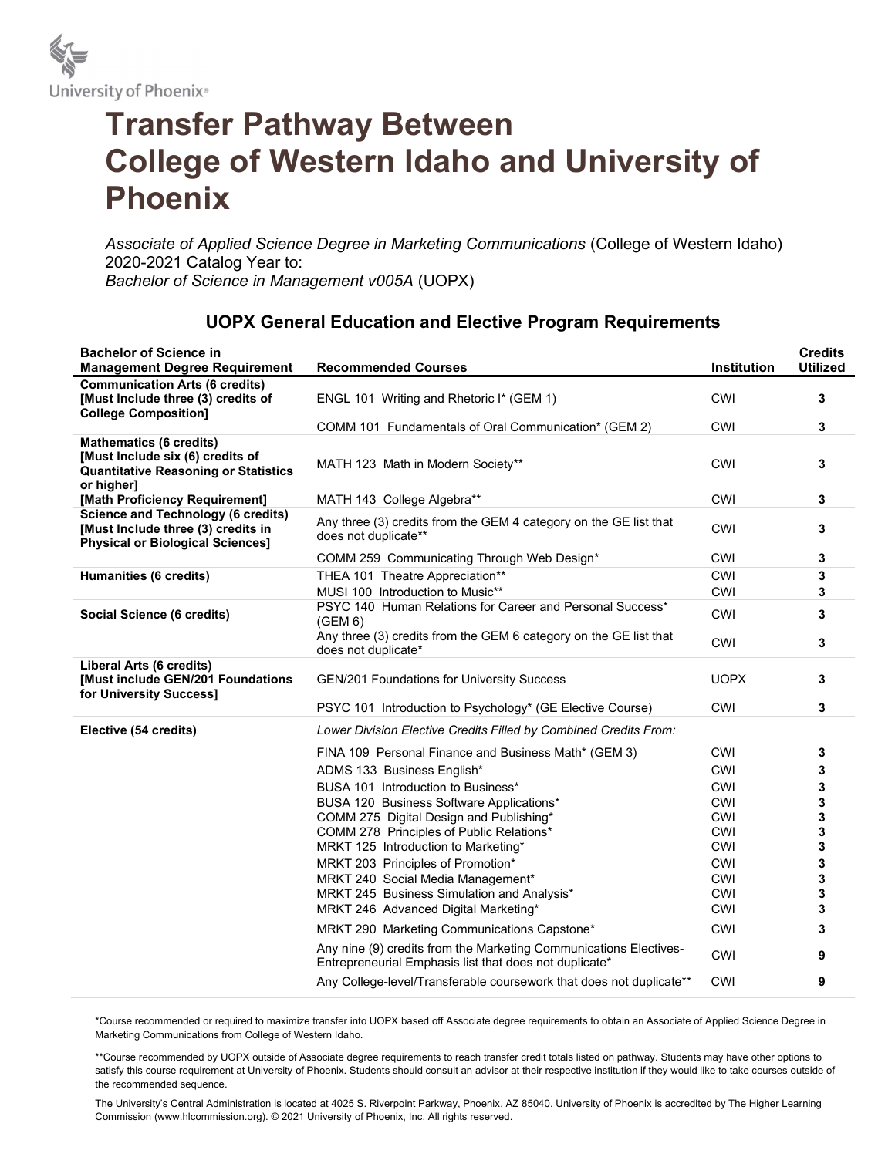

## Transfer Pathway Between College of Western Idaho and University of Phoenix

Associate of Applied Science Degree in Marketing Communications (College of Western Idaho) 2020-2021 Catalog Year to: Bachelor of Science in Management v005A (UOPX)

| <b>Bachelor of Science in</b><br><b>Management Degree Requirement</b>                                                           | <b>Recommended Courses</b>                                                                                                  | Institution       | <b>Credits</b><br><b>Utilized</b> |
|---------------------------------------------------------------------------------------------------------------------------------|-----------------------------------------------------------------------------------------------------------------------------|-------------------|-----------------------------------|
| <b>Communication Arts (6 credits)</b><br>[Must Include three (3) credits of<br><b>College Composition]</b>                      | ENGL 101 Writing and Rhetoric I* (GEM 1)                                                                                    | <b>CWI</b>        | 3                                 |
|                                                                                                                                 | COMM 101 Fundamentals of Oral Communication* (GEM 2)                                                                        | <b>CWI</b>        | 3                                 |
| <b>Mathematics (6 credits)</b><br>[Must Include six (6) credits of<br><b>Quantitative Reasoning or Statistics</b><br>or higher] | MATH 123 Math in Modern Society**                                                                                           | <b>CWI</b>        | 3                                 |
| [Math Proficiency Requirement]                                                                                                  | MATH 143 College Algebra**                                                                                                  | CWI               | 3                                 |
| <b>Science and Technology (6 credits)</b><br>[Must Include three (3) credits in<br><b>Physical or Biological Sciences]</b>      | Any three (3) credits from the GEM 4 category on the GE list that<br>does not duplicate**                                   | CWI               | 3                                 |
|                                                                                                                                 | COMM 259 Communicating Through Web Design*                                                                                  | <b>CWI</b>        | 3                                 |
| <b>Humanities (6 credits)</b>                                                                                                   | THEA 101 Theatre Appreciation**                                                                                             | <b>CWI</b>        | 3                                 |
|                                                                                                                                 | MUSI 100 Introduction to Music**                                                                                            | CWI               | 3                                 |
| Social Science (6 credits)                                                                                                      | PSYC 140 Human Relations for Career and Personal Success*<br>(GEM 6)                                                        | <b>CWI</b>        | 3                                 |
|                                                                                                                                 | Any three (3) credits from the GEM 6 category on the GE list that<br>does not duplicate*                                    | <b>CWI</b>        | 3                                 |
| Liberal Arts (6 credits)<br>[Must include GEN/201 Foundations<br>for University Success]                                        | <b>GEN/201 Foundations for University Success</b>                                                                           | <b>UOPX</b>       | 3                                 |
|                                                                                                                                 | PSYC 101 Introduction to Psychology* (GE Elective Course)                                                                   | <b>CWI</b>        | 3                                 |
| Elective (54 credits)                                                                                                           | Lower Division Elective Credits Filled by Combined Credits From:                                                            |                   |                                   |
|                                                                                                                                 | FINA 109 Personal Finance and Business Math* (GEM 3)                                                                        | <b>CWI</b>        | 3                                 |
|                                                                                                                                 | ADMS 133 Business English*                                                                                                  | <b>CWI</b>        | 3                                 |
|                                                                                                                                 | BUSA 101 Introduction to Business*                                                                                          | CWI               | 3                                 |
|                                                                                                                                 | BUSA 120 Business Software Applications*                                                                                    | <b>CWI</b>        | 3                                 |
|                                                                                                                                 | COMM 275 Digital Design and Publishing*                                                                                     | <b>CWI</b>        | 3                                 |
|                                                                                                                                 | COMM 278 Principles of Public Relations*                                                                                    | <b>CWI</b>        | 3                                 |
|                                                                                                                                 | MRKT 125 Introduction to Marketing*                                                                                         | <b>CWI</b>        | 3                                 |
|                                                                                                                                 | MRKT 203 Principles of Promotion*                                                                                           | <b>CWI</b>        | 3                                 |
|                                                                                                                                 | MRKT 240 Social Media Management*                                                                                           | <b>CWI</b>        | 3                                 |
|                                                                                                                                 | MRKT 245 Business Simulation and Analysis*                                                                                  | CWI<br><b>CWI</b> | 3<br>3                            |
|                                                                                                                                 | MRKT 246 Advanced Digital Marketing*                                                                                        |                   |                                   |
|                                                                                                                                 | MRKT 290 Marketing Communications Capstone*                                                                                 | <b>CWI</b>        | 3                                 |
|                                                                                                                                 | Any nine (9) credits from the Marketing Communications Electives-<br>Entrepreneurial Emphasis list that does not duplicate* | CWI               | 9                                 |
|                                                                                                                                 | Any College-level/Transferable coursework that does not duplicate**                                                         | <b>CWI</b>        | 9                                 |

## UOPX General Education and Elective Program Requirements

\*Course recommended or required to maximize transfer into UOPX based off Associate degree requirements to obtain an Associate of Applied Science Degree in Marketing Communications from College of Western Idaho.

\*\*Course recommended by UOPX outside of Associate degree requirements to reach transfer credit totals listed on pathway. Students may have other options to satisfy this course requirement at University of Phoenix. Students should consult an advisor at their respective institution if they would like to take courses outside of the recommended sequence.

The University's Central Administration is located at 4025 S. Riverpoint Parkway, Phoenix, AZ 85040. University of Phoenix is accredited by The Higher Learning Commission (www.hlcommission.org). © 2021 University of Phoenix, Inc. All rights reserved.